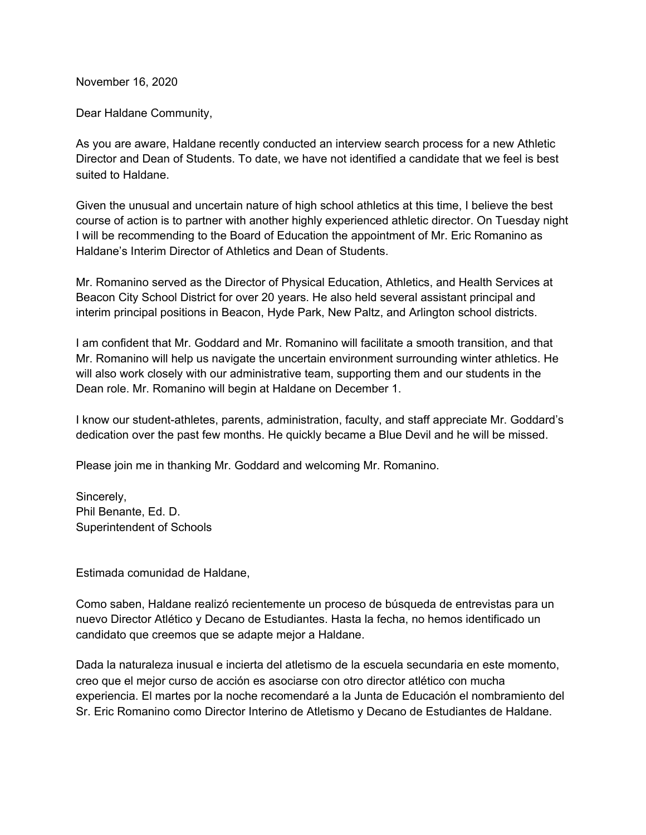November 16, 2020

Dear Haldane Community,

As you are aware, Haldane recently conducted an interview search process for a new Athletic Director and Dean of Students. To date, we have not identified a candidate that we feel is best suited to Haldane.

Given the unusual and uncertain nature of high school athletics at this time, I believe the best course of action is to partner with another highly experienced athletic director. On Tuesday night I will be recommending to the Board of Education the appointment of Mr. Eric Romanino as Haldane's Interim Director of Athletics and Dean of Students.

Mr. Romanino served as the Director of Physical Education, Athletics, and Health Services at Beacon City School District for over 20 years. He also held several assistant principal and interim principal positions in Beacon, Hyde Park, New Paltz, and Arlington school districts.

I am confident that Mr. Goddard and Mr. Romanino will facilitate a smooth transition, and that Mr. Romanino will help us navigate the uncertain environment surrounding winter athletics. He will also work closely with our administrative team, supporting them and our students in the Dean role. Mr. Romanino will begin at Haldane on December 1.

I know our student-athletes, parents, administration, faculty, and staff appreciate Mr. Goddard's dedication over the past few months. He quickly became a Blue Devil and he will be missed.

Please join me in thanking Mr. Goddard and welcoming Mr. Romanino.

Sincerely, Phil Benante, Ed. D. Superintendent of Schools

Estimada comunidad de Haldane,

Como saben, Haldane realizó recientemente un proceso de búsqueda de entrevistas para un nuevo Director Atlético y Decano de Estudiantes. Hasta la fecha, no hemos identificado un candidato que creemos que se adapte mejor a Haldane.

Dada la naturaleza inusual e incierta del atletismo de la escuela secundaria en este momento, creo que el mejor curso de acción es asociarse con otro director atlético con mucha experiencia. El martes por la noche recomendaré a la Junta de Educación el nombramiento del Sr. Eric Romanino como Director Interino de Atletismo y Decano de Estudiantes de Haldane.